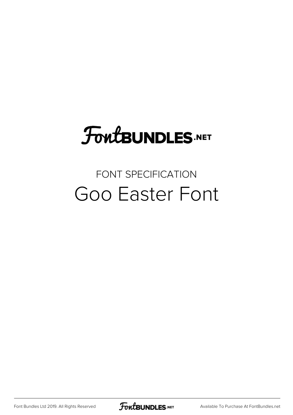## FoutBUNDLES.NET

#### FONT SPECIFICATION Goo Easter Font

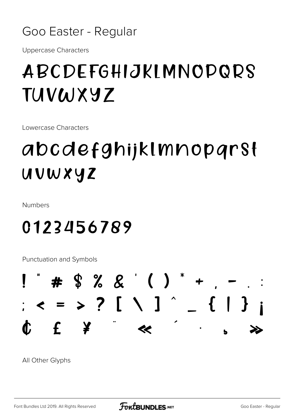

**Uppercase Characters** 

#### ABCDEFGHIJKIMNODQRS TUVWXYZ

Lowercase Characters

### abcdefghijklmnoparst uvwxyz

**Numbers** 

0123456789

Punctuation and Symbols



All Other Glyphs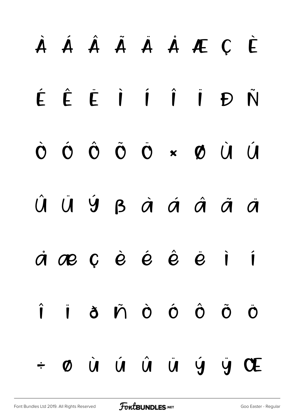# À Á Â Ã Ä Å Æ Ç È É Ê Ë Ì Í Î Ï Ð Ñ Ò Ó Ô Õ Ö × Ø Ù Ú Û Ü Ý ß à á â ã ä å æ ç è é ê ë ì í î ï ð ñ ò ó ô õ ö  $\div$  0 ù û û û  $\vee$  y Œ